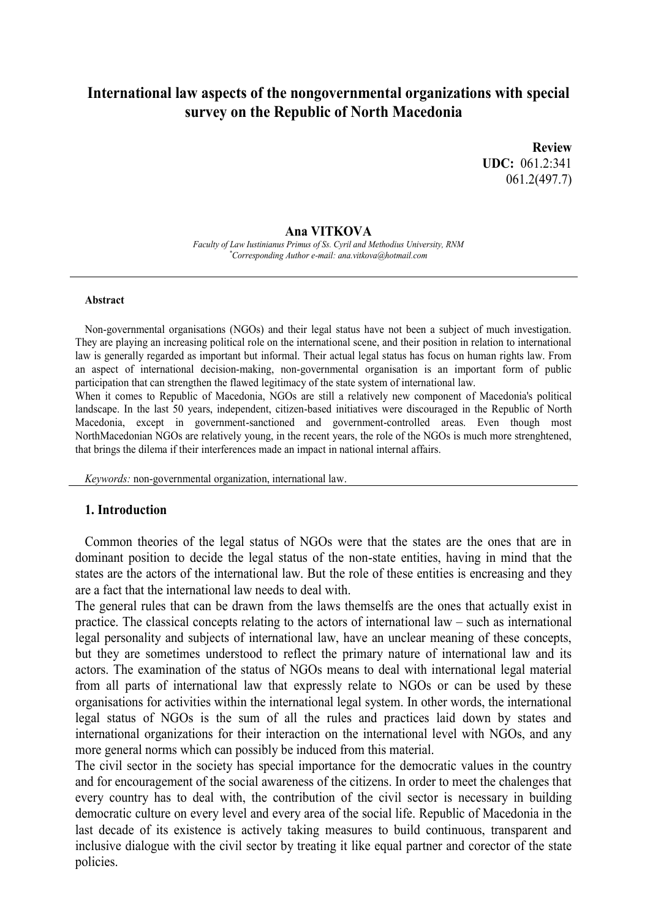# **International law aspects of the nongovernmental organizations with special survey on the Republic of North Macedonia**

**Review IIDC:** 061.2:341 061.2(497.7)

#### **Ana VITKOVA**

*Faculty of Law Iustinianus Primus of Ss. Cyril and Methodius University, RNM \*Corresponding Author e-mail: ana.vitkova@hotmail.com*

#### **Abstract**

Non-governmental organisations (NGOs) and their legal status have not been a subject of much investigation. They are playing an increasing political role on the international scene, and their position in relation to international law is generally regarded as important but informal. Their actual legal status has focus on human rights law. From an aspect of international decision-making, non-governmental organisation is an important form of public participation that can strengthen the flawed legitimacy of the state system of international law.

When it comes to Republic of Macedonia, NGOs are still a relatively new component of Macedonia's political landscape. In the last 50 years, independent, citizen-based initiatives were discouraged in the Republic of North Macedonia, except in government-sanctioned and government-controlled areas. Even though most NorthMacedonian NGOs are relatively young, in the recent years, the role of the NGOs is much more strenghtened, that brings the dilema if their interferences made an impact in national internal affairs.

*Keywords:* non-governmental organization, international law.

#### **1. Introduction**

Common theories of the legal status of NGOs were that the states are the ones that are in dominant position to decide the legal status of the non-state entities, having in mind that the states are the actors of the international law. But the role of these entities is encreasing and they are a fact that the international law needs to deal with.

The general rules that can be drawn from the laws themselfs are the ones that actually exist in practice. The classical concepts relating to the actors of international law – such as international legal personality and subjects of international law, have an unclear meaning of these concepts, but they are sometimes understood to reflect the primary nature of international law and its actors. The examination of the status of NGOs means to deal with international legal material from all parts of international law that expressly relate to NGOs or can be used by these organisations for activities within the international legal system. In other words, the international legal status of NGOs is the sum of all the rules and practices laid down by states and international organizations for their interaction on the international level with NGOs, and any more general norms which can possibly be induced from this material.

The civil sector in the society has special importance for the democratic values in the country and for encouragement of the social awareness of the citizens. In order to meet the chalenges that every country has to deal with, the contribution of the civil sector is necessary in building democratic culture on every level and every area of the social life. Republic of Macedonia in the last decade of its existence is actively taking measures to build continuous, transparent and inclusive dialogue with the civil sector by treating it like equal partner and corector of the state policies.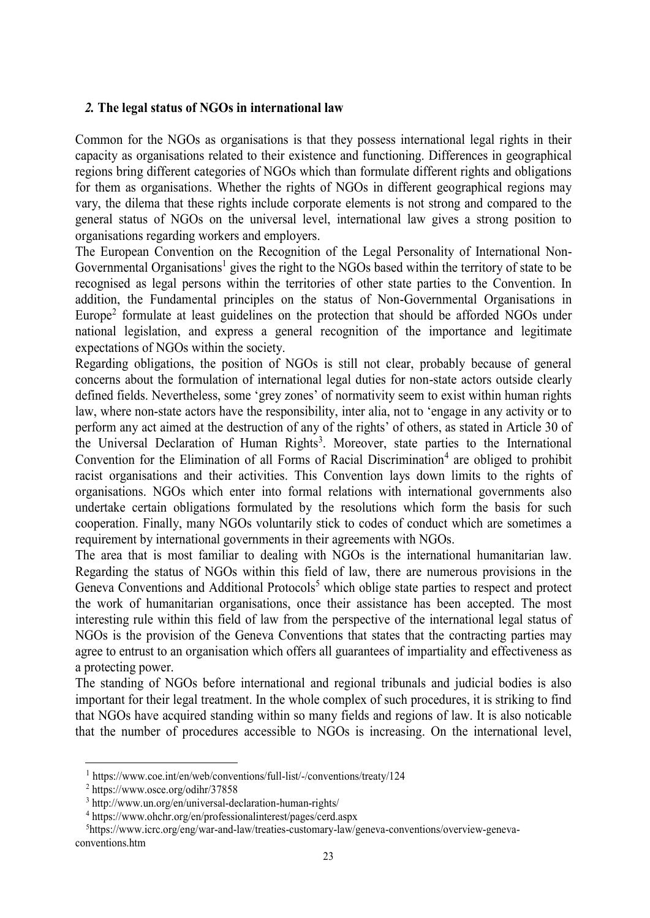## *2.* **The legal status of NGOs in international law**

Common for the NGOs as organisations is that they possess international legal rights in their capacity as organisations related to their existence and functioning. Differences in geographical regions bring different categories of NGOs which than formulate different rights and obligations for them as organisations. Whether the rights of NGOs in different geographical regions may vary, the dilema that these rights include corporate elements is not strong and compared to the general status of NGOs on the universal level, international law gives a strong position to organisations regarding workers and employers.

The European Convention on the Recognition of the Legal Personality of International Non-Governmental Organisations<sup>1</sup> gives the right to the NGOs based within the territory of state to be recognised as legal persons within the territories of other state parties to the Convention. In addition, the Fundamental principles on the status of Non-Governmental Organisations in Europe<sup>2</sup> formulate at least guidelines on the protection that should be afforded NGOs under national legislation, and express a general recognition of the importance and legitimate expectations of NGOs within the society.

Regarding obligations, the position of NGOs is still not clear, probably because of general concerns about the formulation of international legal duties for non-state actors outside clearly defined fields. Nevertheless, some 'grey zones' of normativity seem to exist within human rights law, where non-state actors have the responsibility, inter alia, not to 'engage in any activity or to perform any act aimed at the destruction of any of the rights' of others, as stated in Article 30 of the Universal Declaration of Human Rights<sup>3</sup>. Moreover, state parties to the International Convention for the Elimination of all Forms of Racial Discrimination<sup>4</sup> are obliged to prohibit racist organisations and their activities. This Convention lays down limits to the rights of organisations. NGOs which enter into formal relations with international governments also undertake certain obligations formulated by the resolutions which form the basis for such cooperation. Finally, many NGOs voluntarily stick to codes of conduct which are sometimes a requirement by international governments in their agreements with NGOs.

The area that is most familiar to dealing with NGOs is the international humanitarian law. Regarding the status of NGOs within this field of law, there are numerous provisions in the Geneva Conventions and Additional Protocols<sup>5</sup> which oblige state parties to respect and protect the work of humanitarian organisations, once their assistance has been accepted. The most interesting rule within this field of law from the perspective of the international legal status of NGOs is the provision of the Geneva Conventions that states that the contracting parties may agree to entrust to an organisation which offers all guarantees of impartiality and effectiveness as a protecting power.

The standing of NGOs before international and regional tribunals and judicial bodies is also important for their legal treatment. In the whole complex of such procedures, it is striking to find that NGOs have acquired standing within so many fields and regions of law. It is also noticable that the number of procedures accessible to NGOs is increasing. On the international level,

 $\overline{a}$ 

<sup>1</sup> https://www.coe.int/en/web/conventions/full-list/-/conventions/treaty/124

<sup>2</sup> https://www.osce.org/odihr/37858

<sup>3</sup> http://www.un.org/en/universal-declaration-human-rights/

<sup>4</sup> https://www.ohchr.org/en/professionalinterest/pages/cerd.aspx

<sup>5</sup>https://www.icrc.org/eng/war-and-law/treaties-customary-law/geneva-conventions/overview-genevaconventions.htm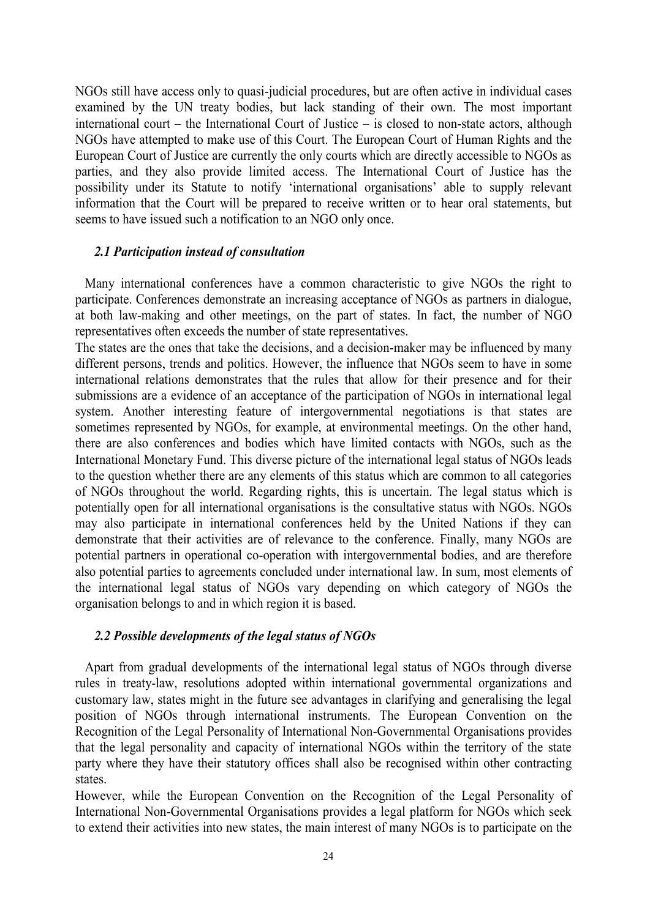NGOs still have access only to quasi-judicial procedures, but are often active in individual cases examined by the UN treaty bodies, but lack standing of their own. The most important international court – the International Court of Justice – is closed to non-state actors, although NGOs have attempted to make use of this Court. The European Court of Human Rights and the European Court of Justice are currently the only courts which are directly accessible to NGOs as parties, and they also provide limited access. The International Court of Justice has the possibility under its Statute to notify 'international organisations' able to supply relevant information that the Court will be prepared to receive written or to hear oral statements, but seems to have issued such a notification to an NGO only once.

#### *2.1 Participation instead of consultation*

Many international conferences have a common characteristic to give NGOs the right to participate. Conferences demonstrate an increasing acceptance of NGOs as partners in dialogue, at both law-making and other meetings, on the part of states. In fact, the number of NGO representatives often exceeds the number of state representatives.

The states are the ones that take the decisions, and a decision-maker may be influenced by many different persons, trends and politics. However, the influence that NGOs seem to have in some international relations demonstrates that the rules that allow for their presence and for their submissions are a evidence of an acceptance of the participation of NGOs in international legal system. Another interesting feature of intergovernmental negotiations is that states are sometimes represented by NGOs, for example, at environmental meetings. On the other hand, there are also conferences and bodies which have limited contacts with NGOs, such as the International Monetary Fund. This diverse picture of the international legal status of NGOs leads to the question whether there are any elements of this status which are common to all categories of NGOs throughout the world. Regarding rights, this is uncertain. The legal status which is potentially open for all international organisations is the consultative status with NGOs. NGOs may also participate in international conferences held by the United Nations if they can demonstrate that their activities are of relevance to the conference. Finally, many NGOs are potential partners in operational co-operation with intergovernmental bodies, and are therefore also potential parties to agreements concluded under international law. In sum, most elements of the international legal status of NGOs vary depending on which category of NGOs the organisation belongs to and in which region it is based.

## *2.2 Possible developments of the legal status of NGOs*

Apart from gradual developments of the international legal status of NGOs through diverse rules in treaty-law, resolutions adopted within international governmental organizations and customary law, states might in the future see advantages in clarifying and generalising the legal position of NGOs through international instruments. The European Convention on the Recognition of the Legal Personality of International Non-Governmental Organisations provides that the legal personality and capacity of international NGOs within the territory of the state party where they have their statutory offices shall also be recognised within other contracting states.

However, while the European Convention on the Recognition of the Legal Personality of International Non-Governmental Organisations provides a legal platform for NGOs which seek to extend their activities into new states, the main interest of many NGOs is to participate on the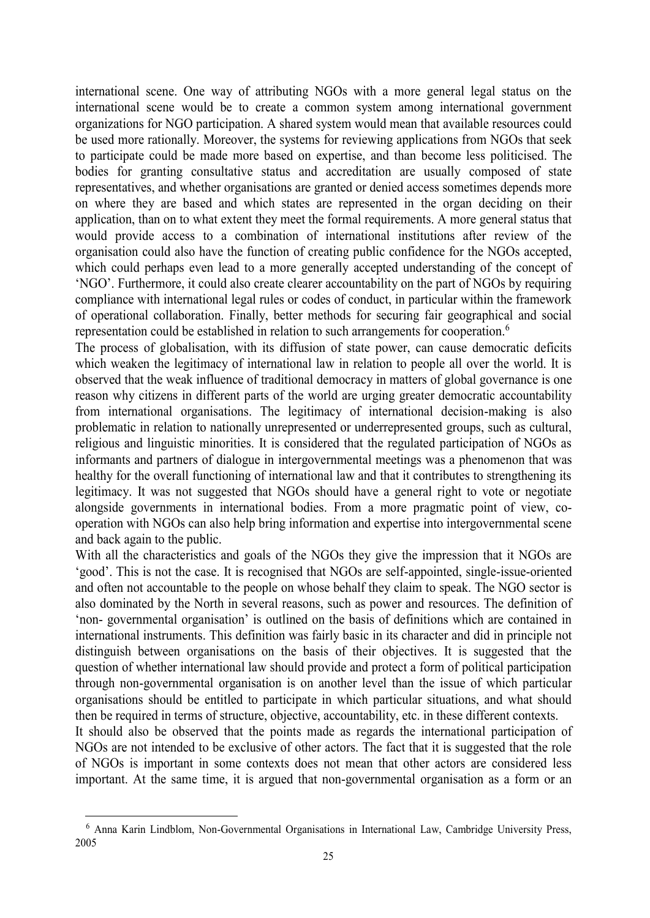international scene. One way of attributing NGOs with a more general legal status on the international scene would be to create a common system among international government organizations for NGO participation. A shared system would mean that available resources could be used more rationally. Moreover, the systems for reviewing applications from NGOs that seek to participate could be made more based on expertise, and than become less politicised. The bodies for granting consultative status and accreditation are usually composed of state representatives, and whether organisations are granted or denied access sometimes depends more on where they are based and which states are represented in the organ deciding on their application, than on to what extent they meet the formal requirements. A more general status that would provide access to a combination of international institutions after review of the organisation could also have the function of creating public confidence for the NGOs accepted, which could perhaps even lead to a more generally accepted understanding of the concept of 'NGO'. Furthermore, it could also create clearer accountability on the part of NGOs by requiring compliance with international legal rules or codes of conduct, in particular within the framework of operational collaboration. Finally, better methods for securing fair geographical and social representation could be established in relation to such arrangements for cooperation.<sup>6</sup>

The process of globalisation, with its diffusion of state power, can cause democratic deficits which weaken the legitimacy of international law in relation to people all over the world. It is observed that the weak influence of traditional democracy in matters of global governance is one reason why citizens in different parts of the world are urging greater democratic accountability from international organisations. The legitimacy of international decision-making is also problematic in relation to nationally unrepresented or underrepresented groups, such as cultural, religious and linguistic minorities. It is considered that the regulated participation of NGOs as informants and partners of dialogue in intergovernmental meetings was a phenomenon that was healthy for the overall functioning of international law and that it contributes to strengthening its legitimacy. It was not suggested that NGOs should have a general right to vote or negotiate alongside governments in international bodies. From a more pragmatic point of view, cooperation with NGOs can also help bring information and expertise into intergovernmental scene and back again to the public.

With all the characteristics and goals of the NGOs they give the impression that it NGOs are 'good'. This is not the case. It is recognised that NGOs are self-appointed, single-issue-oriented and often not accountable to the people on whose behalf they claim to speak. The NGO sector is also dominated by the North in several reasons, such as power and resources. The definition of 'non- governmental organisation' is outlined on the basis of definitions which are contained in international instruments. This definition was fairly basic in its character and did in principle not distinguish between organisations on the basis of their objectives. It is suggested that the question of whether international law should provide and protect a form of political participation through non-governmental organisation is on another level than the issue of which particular organisations should be entitled to participate in which particular situations, and what should then be required in terms of structure, objective, accountability, etc. in these different contexts.

It should also be observed that the points made as regards the international participation of NGOs are not intended to be exclusive of other actors. The fact that it is suggested that the role of NGOs is important in some contexts does not mean that other actors are considered less important. At the same time, it is argued that non-governmental organisation as a form or an

 $\overline{a}$ 

<sup>6</sup> Anna Karin Lindblom, Non-Governmental Organisations in International Law, Cambridge University Press, 2005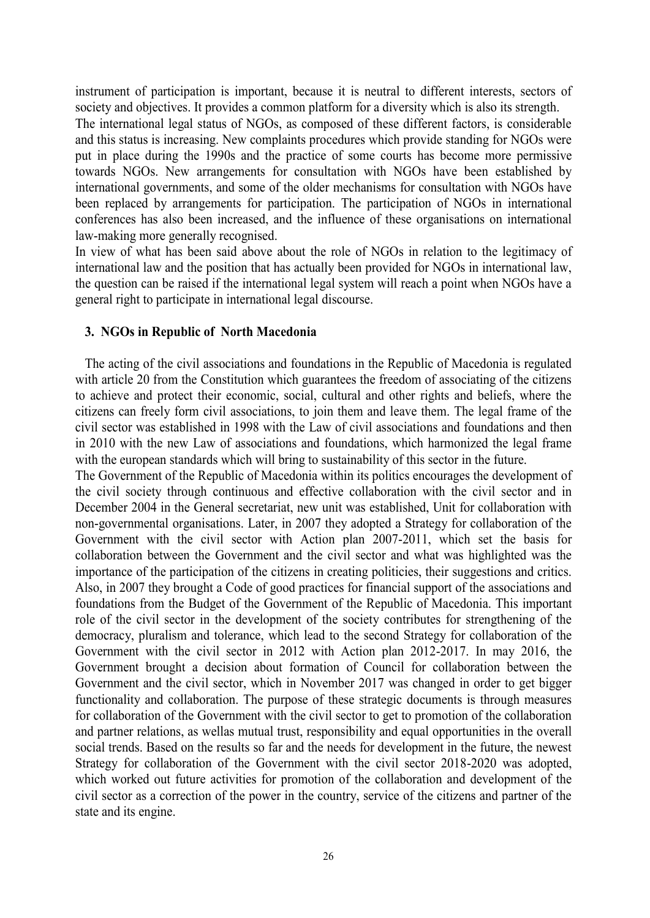instrument of participation is important, because it is neutral to different interests, sectors of society and objectives. It provides a common platform for a diversity which is also its strength. The international legal status of NGOs, as composed of these different factors, is considerable and this status is increasing. New complaints procedures which provide standing for NGOs were put in place during the 1990s and the practice of some courts has become more permissive towards NGOs. New arrangements for consultation with NGOs have been established by international governments, and some of the older mechanisms for consultation with NGOs have been replaced by arrangements for participation. The participation of NGOs in international conferences has also been increased, and the influence of these organisations on international law-making more generally recognised.

In view of what has been said above about the role of NGOs in relation to the legitimacy of international law and the position that has actually been provided for NGOs in international law, the question can be raised if the international legal system will reach a point when NGOs have a general right to participate in international legal discourse.

#### **3. NGOs in Republic of North Macedonia**

The acting of the civil associations and foundations in the Republic of Macedonia is regulated with article 20 from the Constitution which guarantees the freedom of associating of the citizens to achieve and protect their economic, social, cultural and other rights and beliefs, where the citizens can freely form civil associations, to join them and leave them. The legal frame of the civil sector was established in 1998 with the Law of civil associations and foundations and then in 2010 with the new Law of associations and foundations, which harmonized the legal frame with the european standards which will bring to sustainability of this sector in the future.

The Government of the Republic of Macedonia within its politics encourages the development of the civil society through continuous and effective collaboration with the civil sector and in December 2004 in the General secretariat, new unit was established, Unit for collaboration with non-governmental organisations. Later, in 2007 they adopted a Strategy for collaboration of the Government with the civil sector with Action plan 2007-2011, which set the basis for collaboration between the Government and the civil sector and what was highlighted was the importance of the participation of the citizens in creating politicies, their suggestions and critics. Also, in 2007 they brought a Code of good practices for financial support of the associations and foundations from the Budget of the Government of the Republic of Macedonia. This important role of the civil sector in the development of the society contributes for strengthening of the democracy, pluralism and tolerance, which lead to the second Strategy for collaboration of the Government with the civil sector in 2012 with Action plan 2012-2017. In may 2016, the Government brought a decision about formation of Council for collaboration between the Government and the civil sector, which in November 2017 was changed in order to get bigger functionality and collaboration. The purpose of these strategic documents is through measures for collaboration of the Government with the civil sector to get to promotion of the collaboration and partner relations, as wellas mutual trust, responsibility and equal opportunities in the overall social trends. Based on the results so far and the needs for development in the future, the newest Strategy for collaboration of the Government with the civil sector 2018-2020 was adopted, which worked out future activities for promotion of the collaboration and development of the civil sector as a correction of the power in the country, service of the citizens and partner of the state and its engine.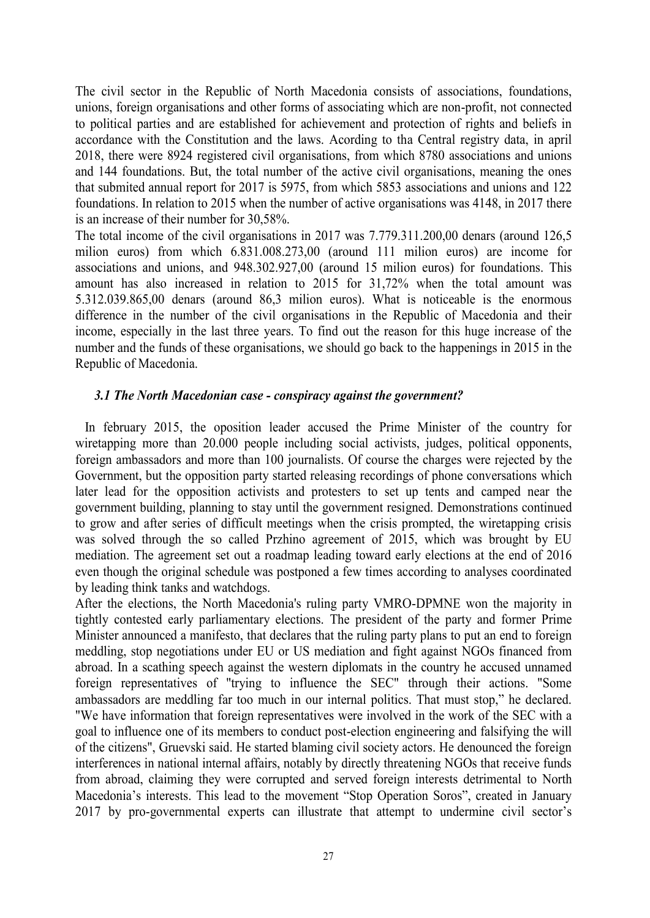The civil sector in the Republic of North Macedonia consists of associations, foundations, unions, foreign organisations and other forms of associating which are non-profit, not connected to political parties and are established for achievement and protection of rights and beliefs in accordance with the Constitution and the laws. Acording to tha Central registry data, in april 2018, there were 8924 registered civil organisations, from which 8780 associations and unions and 144 foundations. But, the total number of the active civil organisations, meaning the ones that submited annual report for 2017 is 5975, from which 5853 associations and unions and 122 foundations. In relation to 2015 when the number of active organisations was 4148, in 2017 there is an increase of their number for 30,58%.

The total income of the civil organisations in 2017 was 7.779.311.200,00 denars (around 126,5 milion euros) from which 6.831.008.273,00 (around 111 milion euros) are income for associations and unions, and 948.302.927,00 (around 15 milion euros) for foundations. This amount has also increased in relation to 2015 for 31,72% when the total amount was 5.312.039.865,00 denars (around 86,3 milion euros). What is noticeable is the enormous difference in the number of the civil organisations in the Republic of Macedonia and their income, especially in the last three years. To find out the reason for this huge increase of the number and the funds of these organisations, we should go back to the happenings in 2015 in the Republic of Macedonia.

## *3.1 The North Macedonian case - conspiracy against the government?*

In february 2015, the oposition leader accused the Prime Minister of the country for wiretapping more than 20.000 people including social activists, judges, political opponents, foreign ambassadors and more than 100 journalists. Of course the charges were rejected by the Government, but the opposition party started releasing recordings of phone conversations which later lead for the opposition activists and protesters to set up tents and camped near the government building, planning to stay until the government resigned. Demonstrations continued to grow and after series of difficult meetings when the crisis prompted, the wiretapping crisis was solved through the so called Przhino agreement of 2015, which was brought by EU mediation. The agreement set out a roadmap leading toward early elections at the end of 2016 even though the original schedule was postponed a few times according to analyses coordinated by leading think tanks and watchdogs.

After the elections, the North Macedonia's ruling party VMRO-DPMNE won the majority in tightly contested early parliamentary elections. The president of the party and former Prime Minister announced a manifesto, that declares that the ruling party plans to put an end to foreign meddling, stop negotiations under EU or US mediation and fight against NGOs financed from abroad. In a scathing speech against the western diplomats in the country he accused unnamed foreign representatives of "trying to influence the SEC" through their actions. "Some ambassadors are meddling far too much in our internal politics. That must stop," he declared. "We have information that foreign representatives were involved in the work of the SEC with a goal to influence one of its members to conduct post-election engineering and falsifying the will of the citizens", Gruevski said. He started blaming civil society actors. He denounced the foreign interferences in national internal affairs, notably by directly threatening NGOs that receive funds from abroad, claiming they were corrupted and served foreign interests detrimental to North Macedonia's interests. This lead to the movement "Stop Operation Soros", created in January 2017 by pro-governmental experts can illustrate that attempt to undermine civil sector's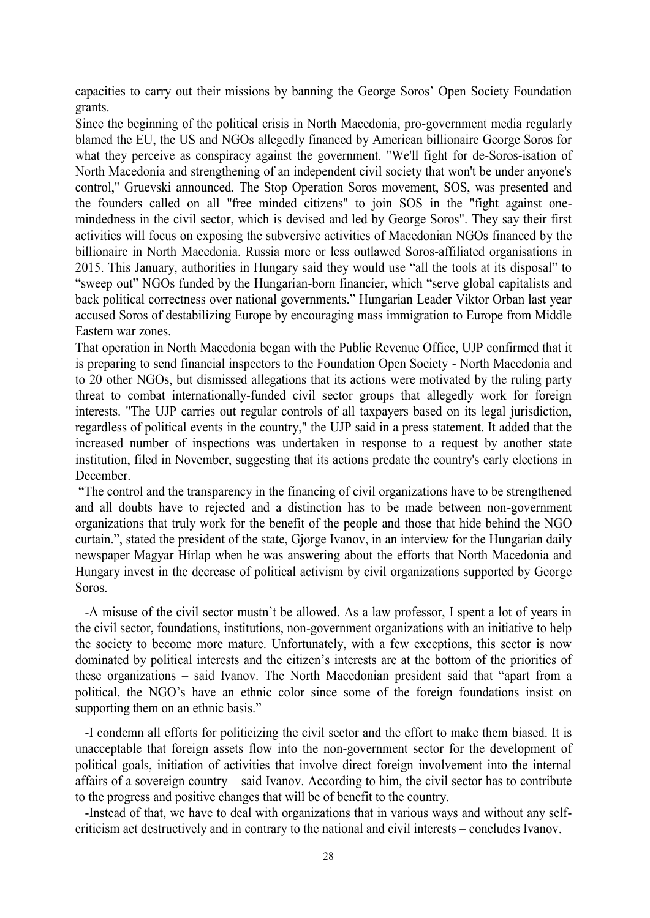capacities to carry out their missions by banning the George Soros' Open Society Foundation grants.

Since the beginning of the political crisis in North Macedonia, pro-government media regularly blamed the EU, the US and NGOs allegedly financed by American billionaire George Soros for what they perceive as conspiracy against the government. "We'll fight for de-Soros-isation of North Macedonia and strengthening of an independent civil society that won't be under anyone's control," Gruevski announced. The Stop Operation Soros movement, SOS, was presented and the founders called on all "free minded citizens" to join SOS in the "fight against onemindedness in the civil sector, which is devised and led by George Soros". They say their first activities will focus on exposing the subversive activities of Macedonian NGOs financed by the billionaire in North Macedonia. Russia more or less outlawed Soros-affiliated organisations in 2015. This January, authorities in Hungary said they would use "all the tools at its disposal" to "sweep out" NGOs funded by the Hungarian-born financier, which "serve global capitalists and back political correctness over national governments." Hungarian Leader Viktor Orban last year accused Soros of destabilizing Europe by encouraging mass immigration to Europe from Middle Eastern war zones.

That operation in North Macedonia began with the Public Revenue Office, UJP confirmed that it is preparing to send financial inspectors to the Foundation Open Society - North Macedonia and to 20 other NGOs, but dismissed allegations that its actions were motivated by the ruling party threat to combat internationally-funded civil sector groups that allegedly work for foreign interests. "The UJP carries out regular controls of all taxpayers based on its legal jurisdiction, regardless of political events in the country," the UJP said in a press statement. It added that the increased number of inspections was undertaken in response to a request by another state institution, filed in November, suggesting that its actions predate the country's early elections in December.

"The control and the transparency in the financing of civil organizations have to be strengthened and all doubts have to rejected and a distinction has to be made between non-government organizations that truly work for the benefit of the people and those that hide behind the NGO curtain.", stated the president of the state, Gjorge Ivanov, in an interview for the Hungarian daily newspaper Magyar Hírlap when he was answering about the efforts that North Macedonia and Hungary invest in the decrease of political activism by civil organizations supported by George Soros.

-A misuse of the civil sector mustn't be allowed. As a law professor, I spent a lot of years in the civil sector, foundations, institutions, non-government organizations with an initiative to help the society to become more mature. Unfortunately, with a few exceptions, this sector is now dominated by political interests and the citizen's interests are at the bottom of the priorities of these organizations – said Ivanov. The North Macedonian president said that "apart from a political, the NGO's have an ethnic color since some of the foreign foundations insist on supporting them on an ethnic basis."

-I condemn all efforts for politicizing the civil sector and the effort to make them biased. It is unacceptable that foreign assets flow into the non-government sector for the development of political goals, initiation of activities that involve direct foreign involvement into the internal affairs of a sovereign country – said Ivanov. According to him, the civil sector has to contribute to the progress and positive changes that will be of benefit to the country.

-Instead of that, we have to deal with organizations that in various ways and without any selfcriticism act destructively and in contrary to the national and civil interests – concludes Ivanov.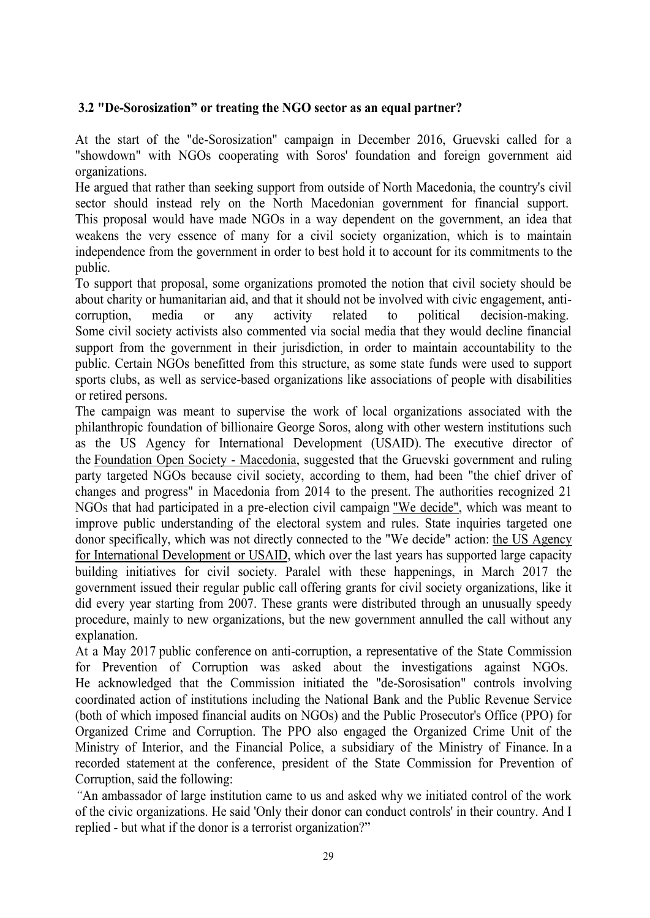## **3.2 "De-Sorosization" or treating the NGO sector as an equal partner?**

At the start of the "de-Sorosization" campaign in December 2016, Gruevski called for a "showdown" with NGOs cooperating with Soros' foundation and foreign government aid organizations.

He argued that rather than seeking support from outside of North Macedonia, the country's civil sector should instead rely on the North Macedonian government for financial support. This proposal would have made NGOs in a way dependent on the government, an idea that weakens the very essence of many for a civil society organization, which is to maintain independence from the government in order to best hold it to account for its commitments to the public.

To support that proposal, some organizations promoted the notion that civil society should be about charity or humanitarian aid, and that it should not be involved with civic engagement, anticorruption, media or any activity related to political decision-making. Some civil society activists also commented via social media that they would decline financial support from the government in their jurisdiction, in order to maintain accountability to the public. Certain NGOs benefitted from this structure, as some state funds were used to support sports clubs, as well as service-based organizations like associations of people with disabilities or retired persons.

The campaign was meant to supervise the work of local organizations associated with the philanthropic foundation of billionaire George Soros, along with other western institutions such as the US Agency for International Development (USAID). The executive director of the Foundation Open Society - Macedonia, suggested that the Gruevski government and ruling party targeted NGOs because civil society, according to them, had been "the chief driver of changes and progress" in Macedonia from 2014 to the present. The authorities recognized 21 NGOs that had participated in a pre-election civil campaign "We decide", which was meant to improve public understanding of the electoral system and rules. State inquiries targeted one donor specifically, which was not directly connected to the "We decide" action: the US Agency for International Development or USAID, which over the last years has supported large capacity building initiatives for civil society. Paralel with these happenings, in March 2017 the government issued their regular public call offering grants for civil society organizations, like it did every year starting from 2007. These grants were distributed through an unusually speedy procedure, mainly to new organizations, but the new government annulled the call without any explanation.

At a May 2017 public conference on anti-corruption, a representative of the State Commission for Prevention of Corruption was asked about the investigations against NGOs. He acknowledged that the Commission initiated the "de-Sorosisation" controls involving coordinated action of institutions including the National Bank and the Public Revenue Service (both of which imposed financial audits on NGOs) and the Public Prosecutor's Office (PPO) for Organized Crime and Corruption. The PPO also engaged the Organized Crime Unit of the Ministry of Interior, and the Financial Police, a subsidiary of the Ministry of Finance. In a recorded statement at the conference, president of the State Commission for Prevention of Corruption, said the following:

*"*An ambassador of large institution came to us and asked why we initiated control of the work of the civic organizations. He said 'Only their donor can conduct controls' in their country. And I replied - but what if the donor is a terrorist organization?"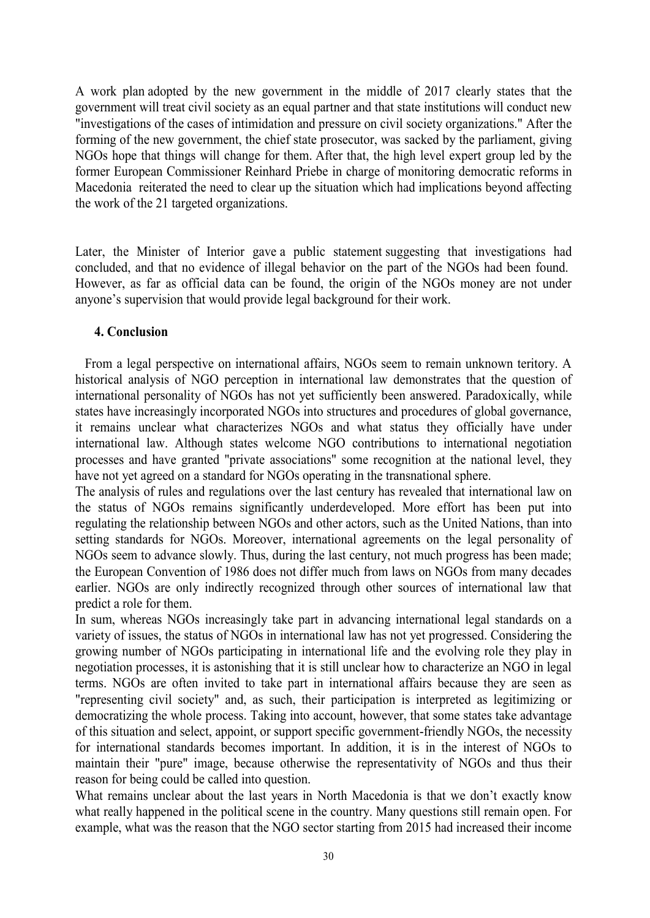A work plan adopted by the new government in the middle of 2017 clearly states that the government will treat civil society as an equal partner and that state institutions will conduct new "investigations of the cases of intimidation and pressure on civil society organizations." After the forming of the new government, the chief state prosecutor, was sacked by the parliament, giving NGOs hope that things will change for them. After that, the high level expert group led by the former European Commissioner Reinhard Priebe in charge of monitoring democratic reforms in Macedonia reiterated the need to clear up the situation which had implications beyond affecting the work of the 21 targeted organizations.

Later, the Minister of Interior gave a public statement suggesting that investigations had concluded, and that no evidence of illegal behavior on the part of the NGOs had been found. However, as far as official data can be found, the origin of the NGOs money are not under anyone's supervision that would provide legal background for their work.

## **4. Conclusion**

From a legal perspective on international affairs, NGOs seem to remain unknown teritory. A historical analysis of NGO perception in international law demonstrates that the question of international personality of NGOs has not yet sufficiently been answered. Paradoxically, while states have increasingly incorporated NGOs into structures and procedures of global governance, it remains unclear what characterizes NGOs and what status they officially have under international law. Although states welcome NGO contributions to international negotiation processes and have granted "private associations" some recognition at the national level, they have not yet agreed on a standard for NGOs operating in the transnational sphere.

The analysis of rules and regulations over the last century has revealed that international law on the status of NGOs remains significantly underdeveloped. More effort has been put into regulating the relationship between NGOs and other actors, such as the United Nations, than into setting standards for NGOs. Moreover, international agreements on the legal personality of NGOs seem to advance slowly. Thus, during the last century, not much progress has been made; the European Convention of 1986 does not differ much from laws on NGOs from many decades earlier. NGOs are only indirectly recognized through other sources of international law that predict a role for them.

In sum, whereas NGOs increasingly take part in advancing international legal standards on a variety of issues, the status of NGOs in international law has not yet progressed. Considering the growing number of NGOs participating in international life and the evolving role they play in negotiation processes, it is astonishing that it is still unclear how to characterize an NGO in legal terms. NGOs are often invited to take part in international affairs because they are seen as "representing civil society" and, as such, their participation is interpreted as legitimizing or democratizing the whole process. Taking into account, however, that some states take advantage of this situation and select, appoint, or support specific government-friendly NGOs, the necessity for international standards becomes important. In addition, it is in the interest of NGOs to maintain their "pure" image, because otherwise the representativity of NGOs and thus their reason for being could be called into question.

What remains unclear about the last years in North Macedonia is that we don't exactly know what really happened in the political scene in the country. Many questions still remain open. For example, what was the reason that the NGO sector starting from 2015 had increased their income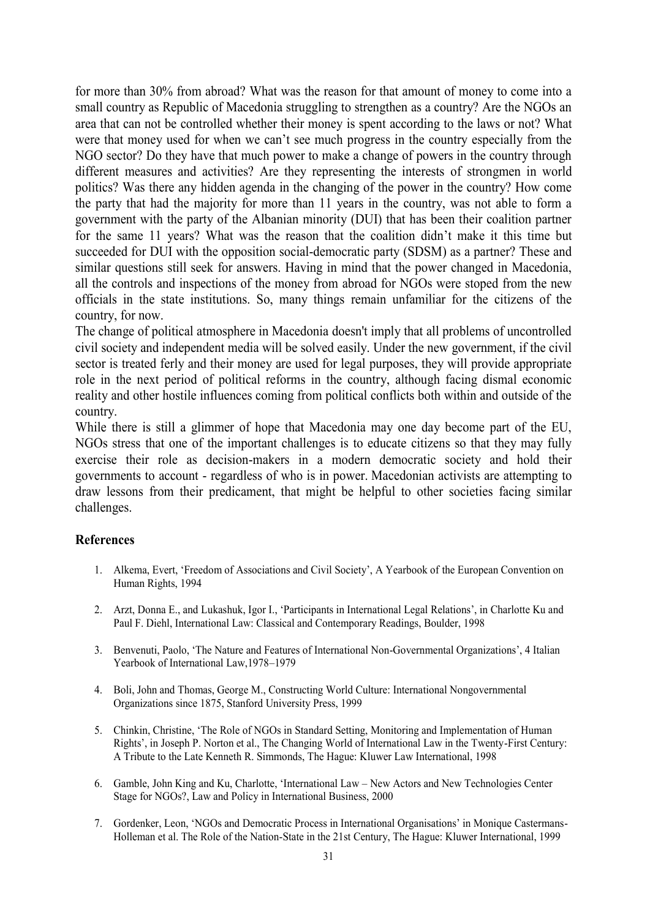for more than 30% from abroad? What was the reason for that amount of money to come into a small country as Republic of Macedonia struggling to strengthen as a country? Are the NGOs an area that can not be controlled whether their money is spent according to the laws or not? What were that money used for when we can't see much progress in the country especially from the NGO sector? Do they have that much power to make a change of powers in the country through different measures and activities? Are they representing the interests of strongmen in world politics? Was there any hidden agenda in the changing of the power in the country? How come the party that had the majority for more than 11 years in the country, was not able to form a government with the party of the Albanian minority (DUI) that has been their coalition partner for the same 11 years? What was the reason that the coalition didn't make it this time but succeeded for DUI with the opposition social-democratic party (SDSM) as a partner? These and similar questions still seek for answers. Having in mind that the power changed in Macedonia, all the controls and inspections of the money from abroad for NGOs were stoped from the new officials in the state institutions. So, many things remain unfamiliar for the citizens of the country, for now.

The change of political atmosphere in Macedonia doesn't imply that all problems of uncontrolled civil society and independent media will be solved easily. Under the new government, if the civil sector is treated ferly and their money are used for legal purposes, they will provide appropriate role in the next period of political reforms in the country, although facing dismal economic reality and other hostile influences coming from political conflicts both within and outside of the country.

While there is still a glimmer of hope that Macedonia may one day become part of the EU, NGOs stress that one of the important challenges is to educate citizens so that they may fully exercise their role as decision-makers in a modern democratic society and hold their governments to account - regardless of who is in power. Macedonian activists are attempting to draw lessons from their predicament, that might be helpful to other societies facing similar challenges.

## **References**

- 1. Alkema, Evert, 'Freedom of Associations and Civil Society', A Yearbook of the European Convention on Human Rights, 1994
- 2. Arzt, Donna E., and Lukashuk, Igor I., 'Participants in International Legal Relations', in Charlotte Ku and Paul F. Diehl, International Law: Classical and Contemporary Readings, Boulder, 1998
- 3. Benvenuti, Paolo, 'The Nature and Features of International Non-Governmental Organizations', 4 Italian Yearbook of International Law,1978–1979
- 4. Boli, John and Thomas, George M., Constructing World Culture: International Nongovernmental Organizations since 1875, Stanford University Press, 1999
- 5. Chinkin, Christine, 'The Role of NGOs in Standard Setting, Monitoring and Implementation of Human Rights', in Joseph P. Norton et al., The Changing World of International Law in the Twenty-First Century: A Tribute to the Late Kenneth R. Simmonds, The Hague: Kluwer Law International, 1998
- 6. Gamble, John King and Ku, Charlotte, 'International Law New Actors and New Technologies Center Stage for NGOs?, Law and Policy in International Business, 2000
- 7. Gordenker, Leon, 'NGOs and Democratic Process in International Organisations' in Monique Castermans-Holleman et al. The Role of the Nation-State in the 21st Century, The Hague: Kluwer International, 1999